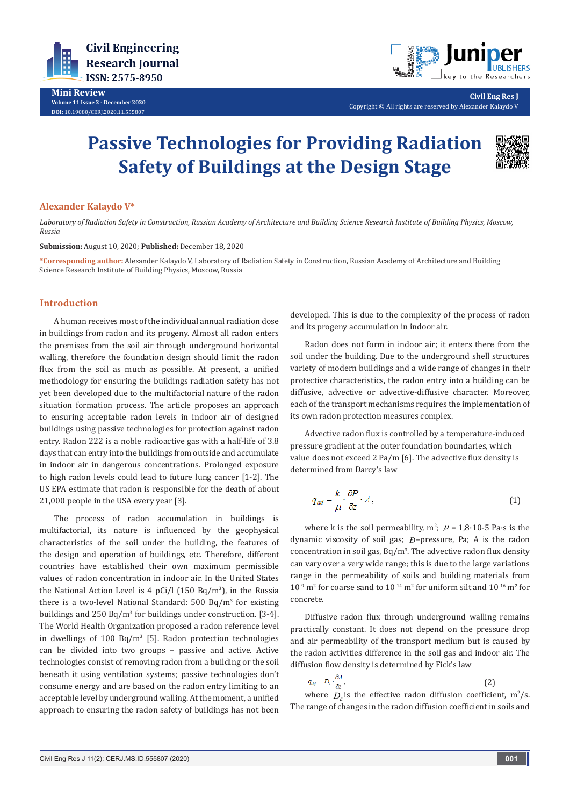

**Mini Review Volume 11 Issue 2 - December 2020 DOI:** [10.19080/CERJ.2020.11.555](http://dx.doi.org/10.19080/CERJ.2020.11.555807)807



**Civil Eng Res J** Copyright © All rights are reserved by Alexander Kalaydo V

# **Passive Technologies for Providing Radiation Safety of Buildings at the Design Stage**



## **Alexander Kalaydo V\***

*Laboratory of Radiation Safety in Construction, Russian Academy of Architecture and Building Science Research Institute of Building Physics, Moscow, Russia*

**Submission:** August 10, 2020; **Published:** December 18, 2020

**\*Corresponding author:** Alexander Kalaydo V, Laboratory of Radiation Safety in Construction, Russian Academy of Architecture and Building Science Research Institute of Building Physics, Moscow, Russia

### **Introduction**

A human receives most of the individual annual radiation dose in buildings from radon and its progeny. Almost all radon enters the premises from the soil air through underground horizontal walling, therefore the foundation design should limit the radon flux from the soil as much as possible. At present, a unified methodology for ensuring the buildings radiation safety has not yet been developed due to the multifactorial nature of the radon situation formation process. The article proposes an approach to ensuring acceptable radon levels in indoor air of designed buildings using passive technologies for protection against radon entry. Radon 222 is a noble radioactive gas with a half-life of 3.8 days that can entry into the buildings from outside and accumulate in indoor air in dangerous concentrations. Prolonged exposure to high radon levels could lead to future lung cancer [1-2]. The US EPA estimate that radon is responsible for the death of about 21,000 people in the USA every year [3].

The process of radon accumulation in buildings is multifactorial, its nature is influenced by the geophysical characteristics of the soil under the building, the features of the design and operation of buildings, etc. Therefore, different countries have established their own maximum permissible values of radon concentration in indoor air. In the United States the National Action Level is 4 pCi/l (150 Bq/m<sup>3</sup> ), in the Russia there is a two-level National Standard: 500 Bq/m<sup>3</sup> for existing buildings and 250 Bq/m<sup>3</sup> for buildings under construction. [3-4]. The World Health Organization proposed a radon reference level in dwellings of  $100 \text{ Bq/m}^3$  [5]. Radon protection technologies can be divided into two groups – passive and active. Active technologies consist of removing radon from a building or the soil beneath it using ventilation systems; passive technologies don't consume energy and are based on the radon entry limiting to an acceptable level by underground walling. At the moment, a unified approach to ensuring the radon safety of buildings has not been

developed. This is due to the complexity of the process of radon and its progeny accumulation in indoor air.

Radon does not form in indoor air; it enters there from the soil under the building. Due to the underground shell structures variety of modern buildings and a wide range of changes in their protective characteristics, the radon entry into a building can be diffusive, advective or advective-diffusive character. Moreover, each of the transport mechanisms requires the implementation of its own radon protection measures complex.

Advective radon flux is controlled by a temperature-induced pressure gradient at the outer foundation boundaries, which value does not exceed 2 Pa/m [6]. The advective flux density is determined from Darcy's law

$$
q_{ad} = \frac{k}{\mu} \cdot \frac{\partial P}{\partial z} \cdot A, \qquad (1)
$$

where k is the soil permeability,  $m^2$ ;  $\mu = 1.8 \cdot 10^{-5}$  Pa $\cdot$ s is the dynamic viscosity of soil gas; *Ð*–pressure, Pa; А is the radon  $concentration$  in soil gas,  $Bq/m<sup>3</sup>$ . The advective radon flux density can vary over a very wide range; this is due to the large variations range in the permeability of soils and building materials from  $10^{-9}$  m<sup>2</sup> for coarse sand to  $10^{-14}$  m<sup>2</sup> for uniform silt and  $10^{-16}$  m<sup>2</sup> for concrete.

Diffusive radon flux through underground walling remains practically constant. It does not depend on the pressure drop and air permeability of the transport medium but is caused by the radon activities difference in the soil gas and indoor air. The diffusion flow density is determined by Fick's law

$$
q_{\partial f} = D_e \cdot \frac{\partial A}{\partial z},\tag{2}
$$

where  $D_{\hat{a}}$  is the effective radon diffusion coefficient, m<sup>2</sup>/s. The range of changes in the radon diffusion coefficient in soils and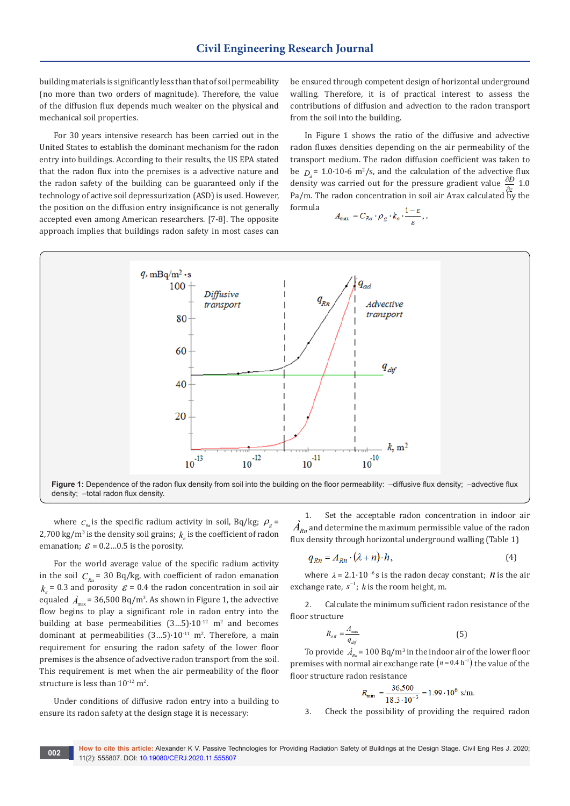building materials is significantly less than that of soil permeability (no more than two orders of magnitude). Therefore, the value of the diffusion flux depends much weaker on the physical and mechanical soil properties.

For 30 years intensive research has been carried out in the United States to establish the dominant mechanism for the radon entry into buildings. According to their results, the US EPA stated that the radon flux into the premises is a advective nature and the radon safety of the building can be guaranteed only if the technology of active soil depressurization (ASD) is used. However, the position on the diffusion entry insignificance is not generally accepted even among American researchers. [7-8]. The opposite approach implies that buildings radon safety in most cases can

be ensured through competent design of horizontal underground walling. Therefore, it is of practical interest to assess the contributions of diffusion and advection to the radon transport from the soil into the building.

In Figure 1 shows the ratio of the diffusive and advective radon fluxes densities depending on the air permeability of the transport medium. The radon diffusion coefficient was taken to be  $D_a = 1.0 \cdot 10^{-6}$  m<sup>2</sup>/s, and the calculation of the advective flux density was carried out for the pressure gradient value  $\frac{\partial D}{\partial z}$  1.0  $P$ a *z* and *z* and *z* and *z* and *z* and *z* and *z* and *z* and *z* and *z* and *z* and *z* and *z* and *z* and *z* and *z* and *z* and *z* and *z* and *z* and *z* and *z* and *z* and *z* and *z* and *z* and *z* and formula

$$
A_{\text{max}} = C_{Ra} \cdot \rho_g \cdot k_e \cdot \frac{1-\varepsilon}{\varepsilon},
$$



density; –total radon flux density.

where  $C_{R_a}$  is the specific radium activity in soil, Bq/kg;  $\rho_g$  = 2,700 kg/m<sup>3</sup> is the density soil grains;  $k_e$  is the coefficient of radon emanation;  $\mathcal{E} = 0.2...0.5$  is the porosity.

For the world average value of the specific radium activity in the soil  $C_{R_a}$  = 30 Bq/kg, with coefficient of radon emanation  $k_e$  = 0.3 and porosity  $\mathcal{E}$  = 0.4 the radon concentration in soil air equaled  $\hat{A}_{\rm max}$  = 36,500 Bq/m<sup>3</sup>. As shown in Figure 1, the advective flow begins to play a significant role in radon entry into the building at base permeabilities  $(3...5) \cdot 10^{-12}$  m<sup>2</sup> and becomes dominant at permeabilities  $(3...5) \cdot 10^{-11}$  m<sup>2</sup>. Therefore, a main requirement for ensuring the radon safety of the lower floor premises is the absence of advective radon transport from the soil. This requirement is met when the air permeability of the floor structure is less than  $10^{-12}$  m<sup>2</sup>.

Under conditions of diffusive radon entry into a building to ensure its radon safety at the design stage it is necessary:

Set the acceptable radon concentration in indoor air  $\overrightarrow{A}_{Rn}$  and determine the maximum permissible value of the radon flux density through horizontal underground walling (Table 1)

$$
q_{Rn} = A_{Rn} \cdot (\lambda + n) \cdot h,\tag{4}
$$

where  $\lambda = 2.1 \cdot 10^{-6}$  s is the radon decay constant; *n* is the air exchange rate,  $s^{-1}$ ; *h* is the room height, m.

2. Calculate the minimum sufficient radon resistance of the floor structure

$$
R_{\delta i i} = \frac{A_{\text{max}}}{q_{dij}} \tag{5}
$$

To provide  $A_{Rn}$  = 100 Bq/m<sup>3</sup> in the indoor air of the lower floor premises with normal air exchange rate  $(n = 0.4 h^{-1})$  the value of the floor structure radon resistance

$$
R_{\min} = \frac{36,500}{18.3 \cdot 10^{-3}} = 1.99 \cdot 10^6 \text{ s/m}.
$$

3. Check the possibility of providing the required radon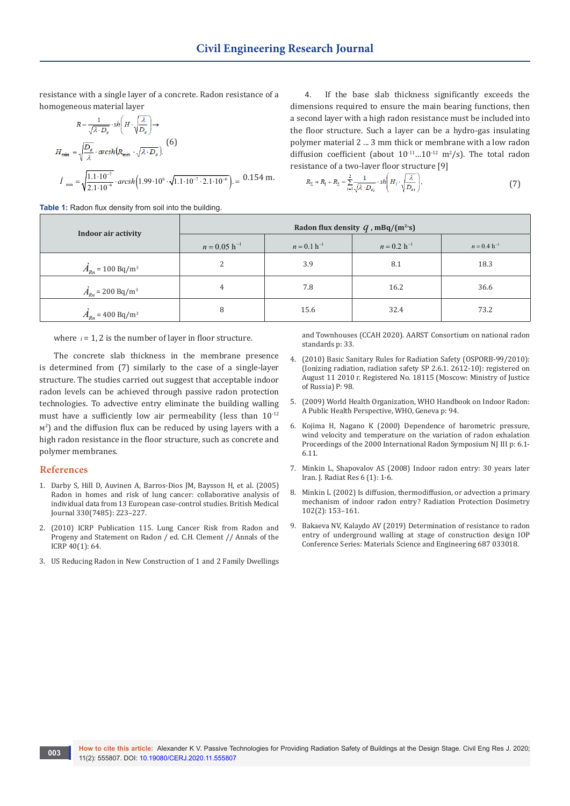resistance with a single layer of a concrete. Radon resistance of a homogeneous material layer

$$
R = \frac{1}{\sqrt{\lambda \cdot D_e}} \cdot sh\left(H \cdot \sqrt{\frac{\lambda}{D_e}}\right) \rightarrow
$$
  
\n
$$
H_{\min} = \sqrt{\frac{D_e}{\lambda}} \cdot arcsh\left(R_{\min} \cdot \sqrt{\lambda \cdot D_e}\right).
$$
  
\n
$$
\hat{I}_{\min} = \sqrt{\frac{1.1 \cdot 10^{-7}}{2.1 \cdot 10^{-6}}} \cdot arcsh\left(1.99 \cdot 10^{6} \cdot \sqrt{1.1 \cdot 10^{-7} \cdot 2.1 \cdot 10^{-6}}\right) = 0.154 \text{ m}.
$$

**Table 1:** Radon flux density from soil into the building.

4. If the base slab thickness significantly exceeds the dimensions required to ensure the main bearing functions, then a second layer with a high radon resistance must be included into the floor structure. Such a layer can be a hydro-gas insulating polymer material 2 ... 3 mm thick or membrane with a low radon diffusion coefficient (about  $10^{-11}...10^{-12}$  m<sup>2</sup>/s). The total radon resistance of a two-layer floor structure [9]

$$
R_{\Sigma} \approx R_1 + R_2 = \sum_{i=1}^{2} \frac{1}{\sqrt{\lambda \cdot D_{ej}}} \cdot sh \left( H_i \cdot \sqrt{\frac{\lambda}{D_{ej}}} \right),\tag{7}
$$

| Indoor air activity                    | Radon flux density $q$ , mBq/(m <sup>2</sup> ·s) |                  |                  |                  |
|----------------------------------------|--------------------------------------------------|------------------|------------------|------------------|
|                                        | $n = 0.05$ h <sup>-1</sup>                       | $n = 0.1 h^{-1}$ | $n = 0.2 h^{-1}$ | $n = 0.4 h^{-1}$ |
| $\hat{A}_{Rn}$ = 100 Bq/m <sup>3</sup> | 2                                                | 3.9              | 8.1              | 18.3             |
| $\vec{A}_{Rn}$ = 200 Bq/m <sup>3</sup> | 4                                                | 7.8              | 16.2             | 36.6             |
| $\vec{A}_{Rn}$ = 400 Bq/m <sup>3</sup> | 8                                                | 15.6             | 32.4             | 73.2             |

where  $i = 1, 2$  is the number of layer in floor structure.

The concrete slab thickness in the membrane presence is determined from (7) similarly to the case of a single-layer structure. The studies carried out suggest that acceptable indoor radon levels can be achieved through passive radon protection technologies. To advective entry eliminate the building walling must have a sufficiently low air permeability (less than  $10^{-12}$ ) м<sup>2</sup>) and the diffusion flux can be reduced by using layers with a high radon resistance in the floor structure, such as concrete and polymer membranes.

#### **References**

- 1. [Darby S, Hill D, Auvinen A, Barros-Dios JM, Baysson H, et al. \(2005\)](https://pubmed.ncbi.nlm.nih.gov/15613366/)  [Radon in homes and risk of lung cancer: collaborative analysis of](https://pubmed.ncbi.nlm.nih.gov/15613366/)  [individual data from 13 European case-control studies. British Medical](https://pubmed.ncbi.nlm.nih.gov/15613366/)  [Journal 330\(7485\): 223–227.](https://pubmed.ncbi.nlm.nih.gov/15613366/)
- 2. (2010) ICRP Publication 115. Lung Cancer Risk from Radon and Progeny and Statement on Radon / ed. C.H. Clement // Annals of the ICRP 40(1): 64.
- 3. US Reducing Radon in New Construction of 1 and 2 Family Dwellings

and Townhouses (CCAH 2020). AARST Consortium on national radon standards p: 33.

- 4. (2010) Basic Sanitary Rules for Radiation Safety (OSPORB-99/2010): (Ionizing radiation, radiation safety SP 2.6.1. 2612-10): registered on August 11 2010 г. Registered No. 18115 (Мoscow: Ministry of Justice of Russia) P: 98.
- 5. (2009) World Health Organization, WHO Handbook on Indoor Radon: A Public Health Perspective, WHO, Geneva p: 94.
- 6. [Kojima H, Nagano K \(2000\) Dependence of barometric pressure,](http://aarst-nrpp.com/proceedings/2000/2000_07_Dependence_of_Barometric_Pressure_Wind_Velocity_and_Temperature_on_the_Variation_of_Radon_Exhalation.pdf)  [wind velocity and temperature on the variation of radon exhalation](http://aarst-nrpp.com/proceedings/2000/2000_07_Dependence_of_Barometric_Pressure_Wind_Velocity_and_Temperature_on_the_Variation_of_Radon_Exhalation.pdf)  [Proceedings of the 2000 International Radon Symposium NJ III р: 6.1-](http://aarst-nrpp.com/proceedings/2000/2000_07_Dependence_of_Barometric_Pressure_Wind_Velocity_and_Temperature_on_the_Variation_of_Radon_Exhalation.pdf) [6.11.](http://aarst-nrpp.com/proceedings/2000/2000_07_Dependence_of_Barometric_Pressure_Wind_Velocity_and_Temperature_on_the_Variation_of_Radon_Exhalation.pdf)
- 7. [Minkin L, Shapovalov AS \(2008\) Indoor radon entry: 30 years later](http://ijrr.com/article-1-372-en.html)  [Iran. J. Radiat Res 6 \(1\): 1-6.](http://ijrr.com/article-1-372-en.html)
- 8. [Minkin L \(2002\) Is diffusion, thermodiffusion, or advection a primary](https://academic.oup.com/rpd/article-abstract/102/2/153/1602376?redirectedFrom=fulltext)  [mechanism of indoor radon entry? Radiation Protection Dosimetry](https://academic.oup.com/rpd/article-abstract/102/2/153/1602376?redirectedFrom=fulltext)  [102\(2\): 153–161.](https://academic.oup.com/rpd/article-abstract/102/2/153/1602376?redirectedFrom=fulltext)
- 9. [Bakaeva NV, Kalaydo AV \(2019\) Determination of resistance to radon](https://iopscience.iop.org/article/10.1088/1757-899X/687/3/033018/meta)  [entry of underground walling at stage of construction design IOP](https://iopscience.iop.org/article/10.1088/1757-899X/687/3/033018/meta)  [Conference Series: Materials Science and Engineering 687 033018.](https://iopscience.iop.org/article/10.1088/1757-899X/687/3/033018/meta)